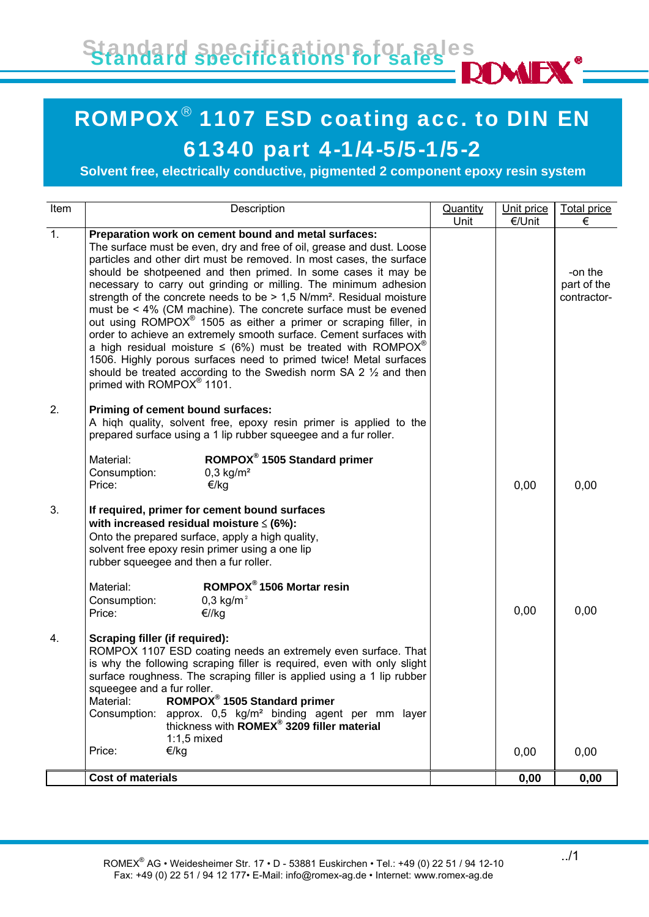Standard specifications for sales Standard specifications for sales

## i<br>I ROMPOX® 1107 ESD coating acc. to DIN EN 61340 part 4-1/4-5/5-1/5-2

**Solvent free, electrically conductive, pigmented 2 component epoxy resin system**

| Item             | Description                                                                                                                                                                                                                                                                                                                                                                                                                                                                                                                                                                                                                                                                                                                                                                                                                                                                                                                                | Quantity<br>Unit | Unit price<br>€/Unit | <b>Total price</b><br>€               |
|------------------|--------------------------------------------------------------------------------------------------------------------------------------------------------------------------------------------------------------------------------------------------------------------------------------------------------------------------------------------------------------------------------------------------------------------------------------------------------------------------------------------------------------------------------------------------------------------------------------------------------------------------------------------------------------------------------------------------------------------------------------------------------------------------------------------------------------------------------------------------------------------------------------------------------------------------------------------|------------------|----------------------|---------------------------------------|
| $\overline{1}$ . | Preparation work on cement bound and metal surfaces:<br>The surface must be even, dry and free of oil, grease and dust. Loose<br>particles and other dirt must be removed. In most cases, the surface<br>should be shotpeened and then primed. In some cases it may be<br>necessary to carry out grinding or milling. The minimum adhesion<br>strength of the concrete needs to be > 1,5 N/mm <sup>2</sup> . Residual moisture<br>must be $\leq 4\%$ (CM machine). The concrete surface must be evened<br>out using ROMPOX <sup>®</sup> 1505 as either a primer or scraping filler, in<br>order to achieve an extremely smooth surface. Cement surfaces with<br>a high residual moisture $\leq$ (6%) must be treated with ROMPOX <sup>®</sup><br>1506. Highly porous surfaces need to primed twice! Metal surfaces<br>should be treated according to the Swedish norm SA 2 $\frac{1}{2}$ and then<br>primed with ROMPOX <sup>®</sup> 1101. |                  |                      | -on the<br>part of the<br>contractor- |
| 2.               | Priming of cement bound surfaces:<br>A high quality, solvent free, epoxy resin primer is applied to the<br>prepared surface using a 1 lip rubber squeegee and a fur roller.                                                                                                                                                                                                                                                                                                                                                                                                                                                                                                                                                                                                                                                                                                                                                                |                  |                      |                                       |
|                  | ROMPOX <sup>®</sup> 1505 Standard primer<br>Material:<br>$0,3$ kg/m <sup>2</sup><br>Consumption:<br>Price:<br>€/kg                                                                                                                                                                                                                                                                                                                                                                                                                                                                                                                                                                                                                                                                                                                                                                                                                         |                  | 0,00                 | 0,00                                  |
| 3.               | If required, primer for cement bound surfaces<br>with increased residual moisture $\leq$ (6%):<br>Onto the prepared surface, apply a high quality,<br>solvent free epoxy resin primer using a one lip<br>rubber squeegee and then a fur roller.                                                                                                                                                                                                                                                                                                                                                                                                                                                                                                                                                                                                                                                                                            |                  |                      |                                       |
|                  | ROMPOX <sup>®</sup> 1506 Mortar resin<br>Material:<br>Consumption:<br>0,3 kg/m <sup>2</sup><br>Price:<br>€//kg                                                                                                                                                                                                                                                                                                                                                                                                                                                                                                                                                                                                                                                                                                                                                                                                                             |                  | 0,00                 | 0,00                                  |
| 4.               | Scraping filler (if required):<br>ROMPOX 1107 ESD coating needs an extremely even surface. That<br>is why the following scraping filler is required, even with only slight<br>surface roughness. The scraping filler is applied using a 1 lip rubber<br>squeegee and a fur roller.<br>ROMPOX <sup>®</sup> 1505 Standard primer<br>Material:<br>approx. 0,5 kg/m <sup>2</sup> binding agent per mm layer<br>Consumption:<br>thickness with ROMEX <sup>®</sup> 3209 filler material<br>$1:1,5$ mixed                                                                                                                                                                                                                                                                                                                                                                                                                                         |                  |                      |                                       |
|                  | €/kg<br>Price:                                                                                                                                                                                                                                                                                                                                                                                                                                                                                                                                                                                                                                                                                                                                                                                                                                                                                                                             |                  | 0,00                 | 0,00                                  |
|                  | <b>Cost of materials</b>                                                                                                                                                                                                                                                                                                                                                                                                                                                                                                                                                                                                                                                                                                                                                                                                                                                                                                                   |                  | 0,00                 | 0,00                                  |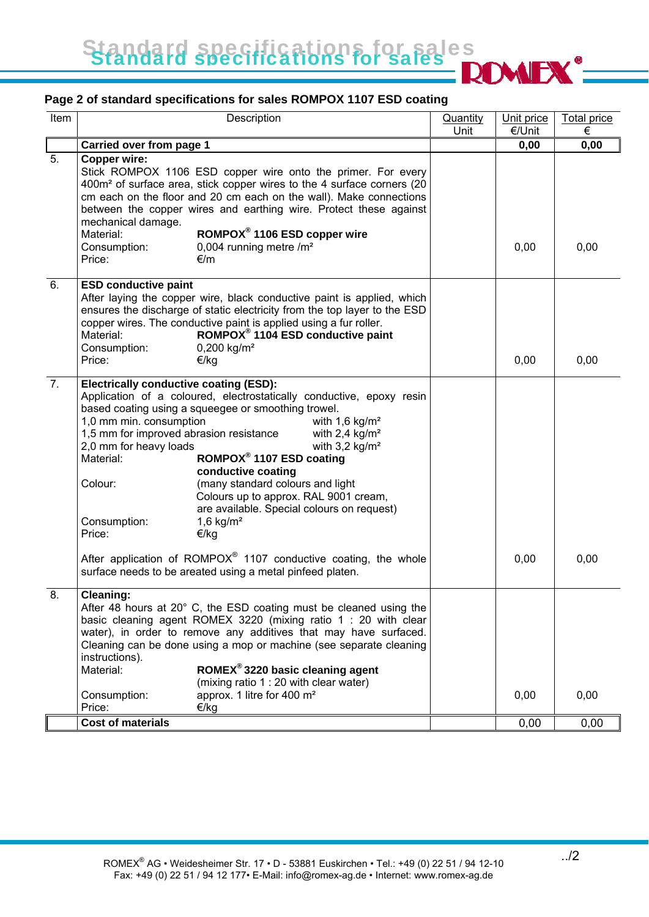Standard specifications for sales Standard specifications for sales

## **Page 2 of standard specifications for sales ROMPOX 1107 ESD coating**

| Item             | Description                                                                                                                                                                                                                                                                                                                                                                                                                                                                                                                                                                                                                                                                                                                                                                      | <b>Quantity</b> | Unit price | <b>Total price</b> |
|------------------|----------------------------------------------------------------------------------------------------------------------------------------------------------------------------------------------------------------------------------------------------------------------------------------------------------------------------------------------------------------------------------------------------------------------------------------------------------------------------------------------------------------------------------------------------------------------------------------------------------------------------------------------------------------------------------------------------------------------------------------------------------------------------------|-----------------|------------|--------------------|
|                  |                                                                                                                                                                                                                                                                                                                                                                                                                                                                                                                                                                                                                                                                                                                                                                                  | Unit            | €/Unit     | €                  |
|                  | Carried over from page 1                                                                                                                                                                                                                                                                                                                                                                                                                                                                                                                                                                                                                                                                                                                                                         |                 | 0,00       | 0,00               |
| 5.               | Copper wire:<br>Stick ROMPOX 1106 ESD copper wire onto the primer. For every<br>400m <sup>2</sup> of surface area, stick copper wires to the 4 surface corners (20<br>cm each on the floor and 20 cm each on the wall). Make connections<br>between the copper wires and earthing wire. Protect these against<br>mechanical damage.<br>ROMPOX <sup>®</sup> 1106 ESD copper wire<br>Material:<br>0,004 running metre /m <sup>2</sup><br>Consumption:<br>Price:<br>€/m                                                                                                                                                                                                                                                                                                             |                 | 0,00       | 0,00               |
| 6.               | <b>ESD conductive paint</b><br>After laying the copper wire, black conductive paint is applied, which<br>ensures the discharge of static electricity from the top layer to the ESD<br>copper wires. The conductive paint is applied using a fur roller.<br>ROMPOX <sup>®</sup> 1104 ESD conductive paint<br>Material:<br>$0,200$ kg/m <sup>2</sup><br>Consumption:<br>Price:<br>€/kg                                                                                                                                                                                                                                                                                                                                                                                             |                 | 0,00       | 0,00               |
| $\overline{7}$ . | <b>Electrically conductive coating (ESD):</b><br>Application of a coloured, electrostatically conductive, epoxy resin<br>based coating using a squeegee or smoothing trowel.<br>1,0 mm min. consumption<br>with $1,6$ kg/m <sup>2</sup><br>1,5 mm for improved abrasion resistance<br>with $2,4$ kg/m <sup>2</sup><br>2,0 mm for heavy loads<br>with $3.2$ kg/m <sup>2</sup><br>ROMPOX <sup>®</sup> 1107 ESD coating<br>Material:<br>conductive coating<br>(many standard colours and light<br>Colour:<br>Colours up to approx. RAL 9001 cream,<br>are available. Special colours on request)<br>Consumption:<br>1,6 $kg/m2$<br>Price:<br>€/kg<br>After application of $ROMPOX®$ 1107 conductive coating, the whole<br>surface needs to be areated using a metal pinfeed platen. |                 | 0,00       | 0,00               |
| 8.               | <b>Cleaning:</b><br>After 48 hours at 20° C, the ESD coating must be cleaned using the<br>basic cleaning agent ROMEX 3220 (mixing ratio 1 : 20 with clear<br>water), in order to remove any additives that may have surfaced.<br>Cleaning can be done using a mop or machine (see separate cleaning<br>instructions).<br>ROMEX <sup>®</sup> 3220 basic cleaning agent<br>Material:<br>(mixing ratio 1 : 20 with clear water)<br>approx. 1 litre for 400 m <sup>2</sup><br>Consumption:<br>Price:<br>€/kg                                                                                                                                                                                                                                                                         |                 | 0,00       | 0,00               |
|                  | Cost of materials                                                                                                                                                                                                                                                                                                                                                                                                                                                                                                                                                                                                                                                                                                                                                                |                 | 0,00       | 0,00               |